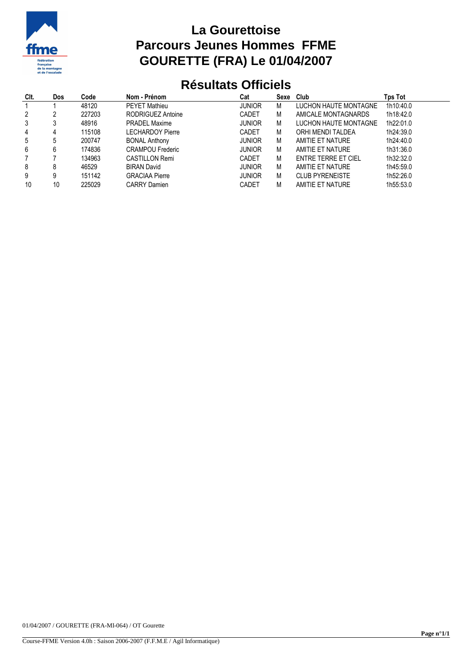

## **La Gourettoise Parcours Jeunes Hommes FFME GOURETTE (FRA) Le 01/04/2007**

## **Résultats Officiels**

| CIt. | <b>Dos</b> | Code   | Nom - Prénom            | Cat           | Sexe Club |                        | Tps Tot   |
|------|------------|--------|-------------------------|---------------|-----------|------------------------|-----------|
|      |            | 48120  | <b>PEYET Mathieu</b>    | <b>JUNIOR</b> | М         | LUCHON HAUTE MONTAGNE  | 1h10:40.0 |
| 2    |            | 227203 | RODRIGUEZ Antoine       | <b>CADET</b>  | М         | AMICALE MONTAGNARDS    | 1h18:42.0 |
| 3    |            | 48916  | <b>PRADEL Maxime</b>    | <b>JUNIOR</b> | М         | LUCHON HAUTE MONTAGNE  | 1h22:01.0 |
| 4    |            | 115108 | <b>LECHARDOY Pierre</b> | CADET         | М         | ORHI MENDI TALDEA      | 1h24:39.0 |
| 5    |            | 200747 | <b>BONAL Anthony</b>    | <b>JUNIOR</b> | M         | AMITIE ET NATURE       | 1h24:40.0 |
| 6    |            | 174836 | <b>CRAMPOU Frederic</b> | <b>JUNIOR</b> | М         | AMITIE ET NATURE       | 1h31:36.0 |
|      |            | 134963 | <b>CASTILLON Remi</b>   | CADET         | M         | ENTRE TERRE ET CIEL    | 1h32:32.0 |
| 8    |            | 46529  | <b>BIRAN David</b>      | <b>JUNIOR</b> | M         | AMITIE ET NATURE       | 1h45:59.0 |
| 9    |            | 151142 | <b>GRACIAA Pierre</b>   | <b>JUNIOR</b> | М         | <b>CLUB PYRENEISTE</b> | 1h52:26.0 |
| 10   | 10         | 225029 | <b>CARRY Damien</b>     | <b>CADET</b>  | М         | AMITIE ET NATURE       | 1h55:53.0 |

01/04/2007 / GOURETTE (FRA-MI-064) / OT Gourette